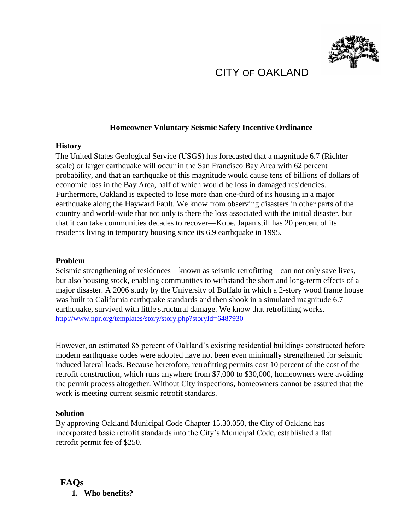

# CITY OF OAKLAND

#### **Homeowner Voluntary Seismic Safety Incentive Ordinance**

#### **History**

The United States Geological Service (USGS) has forecasted that a magnitude 6.7 (Richter scale) or larger earthquake will occur in the San Francisco Bay Area with 62 percent probability, and that an earthquake of this magnitude would cause tens of billions of dollars of economic loss in the Bay Area, half of which would be loss in damaged residencies. Furthermore, Oakland is expected to lose more than one-third of its housing in a major earthquake along the Hayward Fault. We know from observing disasters in other parts of the country and world-wide that not only is there the loss associated with the initial disaster, but that it can take communities decades to recover—Kobe, Japan still has 20 percent of its residents living in temporary housing since its 6.9 earthquake in 1995.

#### **Problem**

Seismic strengthening of residences—known as seismic retrofitting—can not only save lives, but also housing stock, enabling communities to withstand the short and long-term effects of a major disaster. A 2006 study by the University of Buffalo in which a 2-story wood frame house was built to California earthquake standards and then shook in a simulated magnitude 6.7 earthquake, survived with little structural damage. We know that retrofitting works. http://www.npr.org/templates/story/story.php?storyId=6487930

However, an estimated 85 percent of Oakland's existing residential buildings constructed before modern earthquake codes were adopted have not been even minimally strengthened for seismic induced lateral loads. Because heretofore, retrofitting permits cost 10 percent of the cost of the retrofit construction, which runs anywhere from \$7,000 to \$30,000, homeowners were avoiding the permit process altogether. Without City inspections, homeowners cannot be assured that the work is meeting current seismic retrofit standards.

#### **Solution**

By approving Oakland Municipal Code Chapter 15.30.050, the City of Oakland has incorporated basic retrofit standards into the City's Municipal Code, established a flat retrofit permit fee of \$250.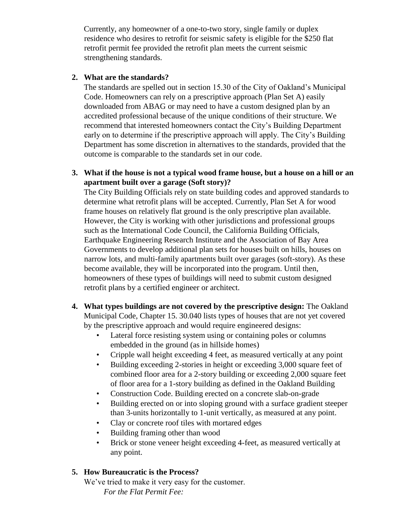Currently, any homeowner of a one-to-two story, single family or duplex residence who desires to retrofit for seismic safety is eligible for the \$250 flat retrofit permit fee provided the retrofit plan meets the current seismic strengthening standards.

## **2. What are the standards?**

The standards are spelled out in section 15.30 of the City of Oakland's Municipal Code. Homeowners can rely on a prescriptive approach (Plan Set A) easily downloaded from ABAG or may need to have a custom designed plan by an accredited professional because of the unique conditions of their structure. We recommend that interested homeowners contact the City's Building Department early on to determine if the prescriptive approach will apply. The City's Building Department has some discretion in alternatives to the standards, provided that the outcome is comparable to the standards set in our code.

## **3. What if the house is not a typical wood frame house, but a house on a hill or an apartment built over a garage (Soft story)?**

The City Building Officials rely on state building codes and approved standards to determine what retrofit plans will be accepted. Currently, Plan Set A for wood frame houses on relatively flat ground is the only prescriptive plan available. However, the City is working with other jurisdictions and professional groups such as the International Code Council, the California Building Officials, Earthquake Engineering Research Institute and the Association of Bay Area Governments to develop additional plan sets for houses built on hills, houses on narrow lots, and multi-family apartments built over garages (soft-story). As these become available, they will be incorporated into the program. Until then, homeowners of these types of buildings will need to submit custom designed retrofit plans by a certified engineer or architect.

- **4. What types buildings are not covered by the prescriptive design:** The Oakland Municipal Code, Chapter 15. 30.040 lists types of houses that are not yet covered by the prescriptive approach and would require engineered designs:
	- Lateral force resisting system using or containing poles or columns embedded in the ground (as in hillside homes)
	- Cripple wall height exceeding 4 feet, as measured vertically at any point
	- Building exceeding 2-stories in height or exceeding 3,000 square feet of combined floor area for a 2-story building or exceeding 2,000 square feet of floor area for a 1-story building as defined in the Oakland Building
	- Construction Code. Building erected on a concrete slab-on-grade
	- Building erected on or into sloping ground with a surface gradient steeper than 3-units horizontally to 1-unit vertically, as measured at any point.
	- Clay or concrete roof tiles with mortared edges
	- Building framing other than wood
	- Brick or stone veneer height exceeding 4-feet, as measured vertically at any point.

## **5. How Bureaucratic is the Process?**

We've tried to make it very easy for the customer. *For the Flat Permit Fee:*